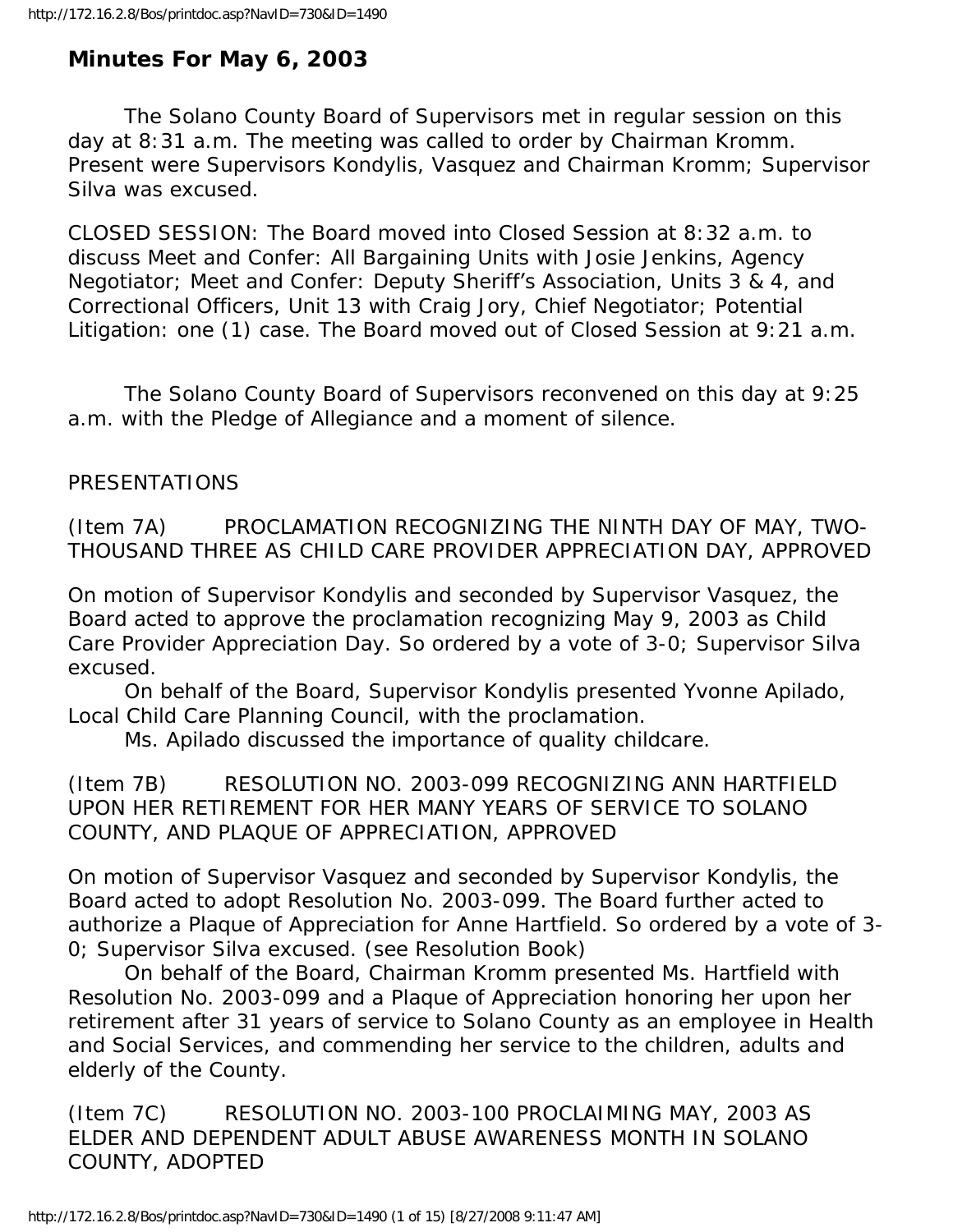# **Minutes For May 6, 2003**

 The Solano County Board of Supervisors met in regular session on this day at 8:31 a.m. The meeting was called to order by Chairman Kromm. Present were Supervisors Kondylis, Vasquez and Chairman Kromm; Supervisor Silva was excused.

CLOSED SESSION: The Board moved into Closed Session at 8:32 a.m. to discuss Meet and Confer: All Bargaining Units with Josie Jenkins, Agency Negotiator; Meet and Confer: Deputy Sheriff's Association, Units 3 & 4, and Correctional Officers, Unit 13 with Craig Jory, Chief Negotiator; Potential Litigation: one (1) case. The Board moved out of Closed Session at 9:21 a.m.

 The Solano County Board of Supervisors reconvened on this day at 9:25 a.m. with the Pledge of Allegiance and a moment of silence.

### PRESENTATIONS

(Item 7A) PROCLAMATION RECOGNIZING THE NINTH DAY OF MAY, TWO-THOUSAND THREE AS CHILD CARE PROVIDER APPRECIATION DAY, APPROVED

On motion of Supervisor Kondylis and seconded by Supervisor Vasquez, the Board acted to approve the proclamation recognizing May 9, 2003 as Child Care Provider Appreciation Day. So ordered by a vote of 3-0; Supervisor Silva excused.

 On behalf of the Board, Supervisor Kondylis presented Yvonne Apilado, Local Child Care Planning Council, with the proclamation.

Ms. Apilado discussed the importance of quality childcare.

(Item 7B) RESOLUTION NO. 2003-099 RECOGNIZING ANN HARTFIELD UPON HER RETIREMENT FOR HER MANY YEARS OF SERVICE TO SOLANO COUNTY, AND PLAQUE OF APPRECIATION, APPROVED

On motion of Supervisor Vasquez and seconded by Supervisor Kondylis, the Board acted to adopt Resolution No. 2003-099. The Board further acted to authorize a Plaque of Appreciation for Anne Hartfield. So ordered by a vote of 3- 0; Supervisor Silva excused. (see Resolution Book)

 On behalf of the Board, Chairman Kromm presented Ms. Hartfield with Resolution No. 2003-099 and a Plaque of Appreciation honoring her upon her retirement after 31 years of service to Solano County as an employee in Health and Social Services, and commending her service to the children, adults and elderly of the County.

(Item 7C) RESOLUTION NO. 2003-100 PROCLAIMING MAY, 2003 AS ELDER AND DEPENDENT ADULT ABUSE AWARENESS MONTH IN SOLANO COUNTY, ADOPTED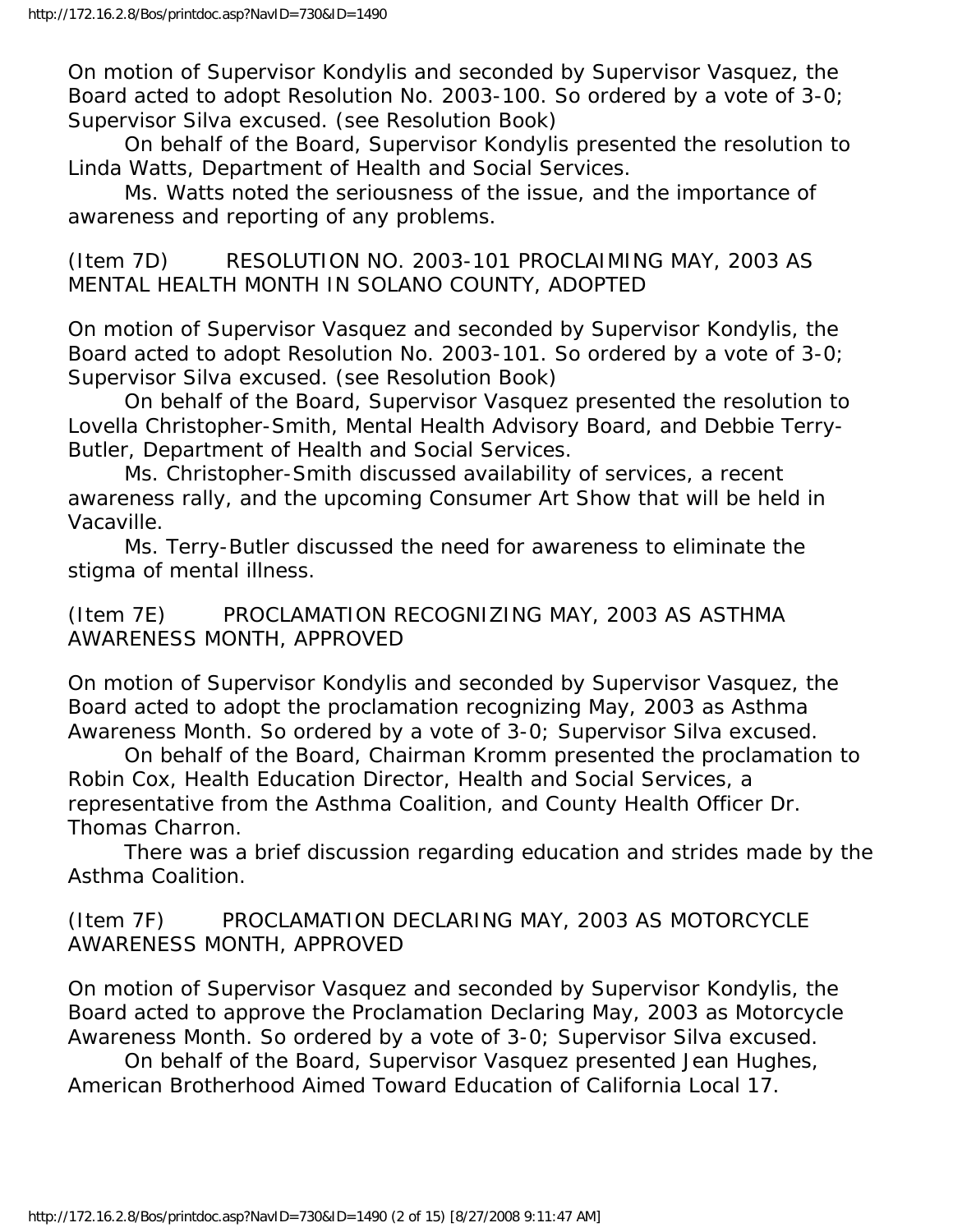On motion of Supervisor Kondylis and seconded by Supervisor Vasquez, the Board acted to adopt Resolution No. 2003-100. So ordered by a vote of 3-0; Supervisor Silva excused. (see Resolution Book)

 On behalf of the Board, Supervisor Kondylis presented the resolution to Linda Watts, Department of Health and Social Services.

 Ms. Watts noted the seriousness of the issue, and the importance of awareness and reporting of any problems.

(Item 7D) RESOLUTION NO. 2003-101 PROCLAIMING MAY, 2003 AS MENTAL HEALTH MONTH IN SOLANO COUNTY, ADOPTED

On motion of Supervisor Vasquez and seconded by Supervisor Kondylis, the Board acted to adopt Resolution No. 2003-101. So ordered by a vote of 3-0; Supervisor Silva excused. (see Resolution Book)

 On behalf of the Board, Supervisor Vasquez presented the resolution to Lovella Christopher-Smith, Mental Health Advisory Board, and Debbie Terry-Butler, Department of Health and Social Services.

 Ms. Christopher-Smith discussed availability of services, a recent awareness rally, and the upcoming Consumer Art Show that will be held in Vacaville.

 Ms. Terry-Butler discussed the need for awareness to eliminate the stigma of mental illness.

(Item 7E) PROCLAMATION RECOGNIZING MAY, 2003 AS ASTHMA AWARENESS MONTH, APPROVED

On motion of Supervisor Kondylis and seconded by Supervisor Vasquez, the Board acted to adopt the proclamation recognizing May, 2003 as Asthma Awareness Month. So ordered by a vote of 3-0; Supervisor Silva excused.

 On behalf of the Board, Chairman Kromm presented the proclamation to Robin Cox, Health Education Director, Health and Social Services, a representative from the Asthma Coalition, and County Health Officer Dr. Thomas Charron.

 There was a brief discussion regarding education and strides made by the Asthma Coalition.

(Item 7F) PROCLAMATION DECLARING MAY, 2003 AS MOTORCYCLE AWARENESS MONTH, APPROVED

On motion of Supervisor Vasquez and seconded by Supervisor Kondylis, the Board acted to approve the Proclamation Declaring May, 2003 as Motorcycle Awareness Month. So ordered by a vote of 3-0; Supervisor Silva excused.

 On behalf of the Board, Supervisor Vasquez presented Jean Hughes, American Brotherhood Aimed Toward Education of California Local 17.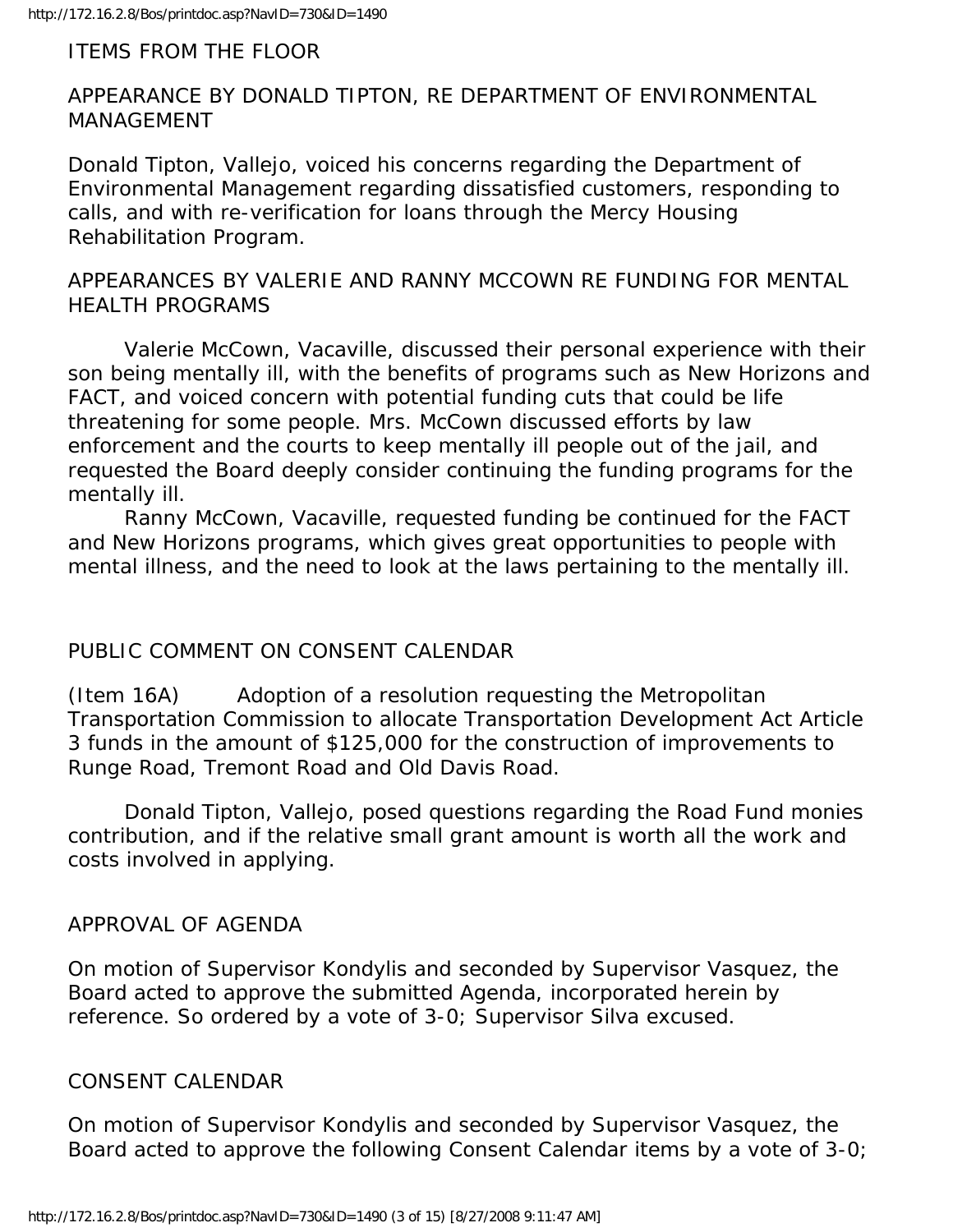## ITEMS FROM THE FLOOR

## APPEARANCE BY DONALD TIPTON, RE DEPARTMENT OF ENVIRONMENTAL MANAGEMENT

Donald Tipton, Vallejo, voiced his concerns regarding the Department of Environmental Management regarding dissatisfied customers, responding to calls, and with re-verification for loans through the Mercy Housing Rehabilitation Program.

## APPEARANCES BY VALERIE AND RANNY MCCOWN RE FUNDING FOR MENTAL HEALTH PROGRAMS

 Valerie McCown, Vacaville, discussed their personal experience with their son being mentally ill, with the benefits of programs such as New Horizons and FACT, and voiced concern with potential funding cuts that could be life threatening for some people. Mrs. McCown discussed efforts by law enforcement and the courts to keep mentally ill people out of the jail, and requested the Board deeply consider continuing the funding programs for the mentally ill.

 Ranny McCown, Vacaville, requested funding be continued for the FACT and New Horizons programs, which gives great opportunities to people with mental illness, and the need to look at the laws pertaining to the mentally ill.

# PUBLIC COMMENT ON CONSENT CALENDAR

(Item 16A) Adoption of a resolution requesting the Metropolitan Transportation Commission to allocate Transportation Development Act Article 3 funds in the amount of \$125,000 for the construction of improvements to Runge Road, Tremont Road and Old Davis Road.

 Donald Tipton, Vallejo, posed questions regarding the Road Fund monies contribution, and if the relative small grant amount is worth all the work and costs involved in applying.

# APPROVAL OF AGENDA

On motion of Supervisor Kondylis and seconded by Supervisor Vasquez, the Board acted to approve the submitted Agenda, incorporated herein by reference. So ordered by a vote of 3-0; Supervisor Silva excused.

# CONSENT CALENDAR

On motion of Supervisor Kondylis and seconded by Supervisor Vasquez, the Board acted to approve the following Consent Calendar items by a vote of 3-0;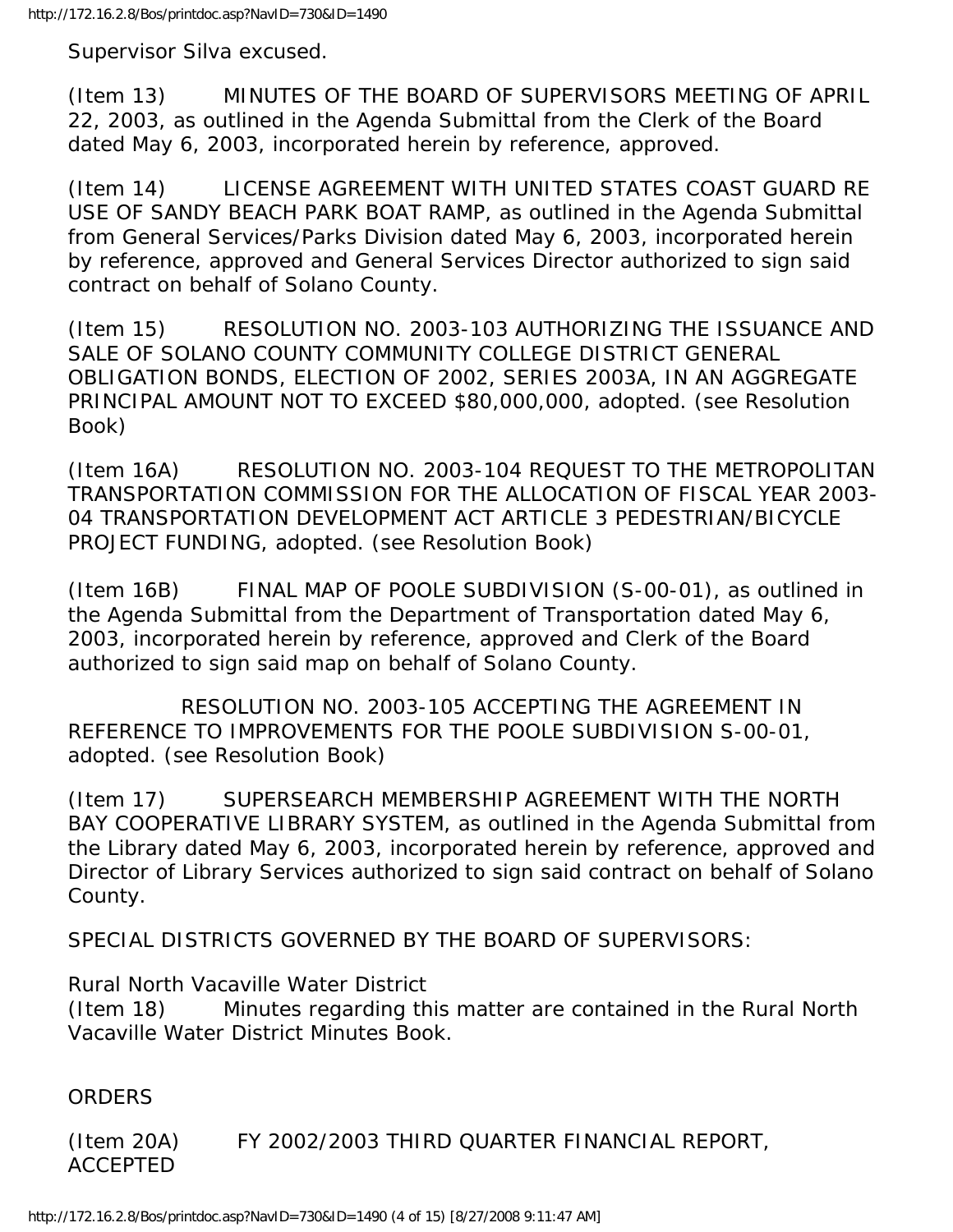Supervisor Silva excused.

(Item 13) MINUTES OF THE BOARD OF SUPERVISORS MEETING OF APRIL 22, 2003, as outlined in the Agenda Submittal from the Clerk of the Board dated May 6, 2003, incorporated herein by reference, approved.

(Item 14) LICENSE AGREEMENT WITH UNITED STATES COAST GUARD RE USE OF SANDY BEACH PARK BOAT RAMP, as outlined in the Agenda Submittal from General Services/Parks Division dated May 6, 2003, incorporated herein by reference, approved and General Services Director authorized to sign said contract on behalf of Solano County.

(Item 15) RESOLUTION NO. 2003-103 AUTHORIZING THE ISSUANCE AND SALE OF SOLANO COUNTY COMMUNITY COLLEGE DISTRICT GENERAL OBLIGATION BONDS, ELECTION OF 2002, SERIES 2003A, IN AN AGGREGATE PRINCIPAL AMOUNT NOT TO EXCEED \$80,000,000, adopted. (see Resolution Book)

(Item 16A) RESOLUTION NO. 2003-104 REQUEST TO THE METROPOLITAN TRANSPORTATION COMMISSION FOR THE ALLOCATION OF FISCAL YEAR 2003- 04 TRANSPORTATION DEVELOPMENT ACT ARTICLE 3 PEDESTRIAN/BICYCLE PROJECT FUNDING, adopted. (see Resolution Book)

(Item 16B) FINAL MAP OF POOLE SUBDIVISION (S-00-01), as outlined in the Agenda Submittal from the Department of Transportation dated May 6, 2003, incorporated herein by reference, approved and Clerk of the Board authorized to sign said map on behalf of Solano County.

 RESOLUTION NO. 2003-105 ACCEPTING THE AGREEMENT IN REFERENCE TO IMPROVEMENTS FOR THE POOLE SUBDIVISION S-00-01, adopted. (see Resolution Book)

(Item 17) SUPERSEARCH MEMBERSHIP AGREEMENT WITH THE NORTH BAY COOPERATIVE LIBRARY SYSTEM, as outlined in the Agenda Submittal from the Library dated May 6, 2003, incorporated herein by reference, approved and Director of Library Services authorized to sign said contract on behalf of Solano County.

SPECIAL DISTRICTS GOVERNED BY THE BOARD OF SUPERVISORS:

Rural North Vacaville Water District

(Item 18) Minutes regarding this matter are contained in the Rural North Vacaville Water District Minutes Book.

ORDERS

(Item 20A) FY 2002/2003 THIRD QUARTER FINANCIAL REPORT, ACCEPTED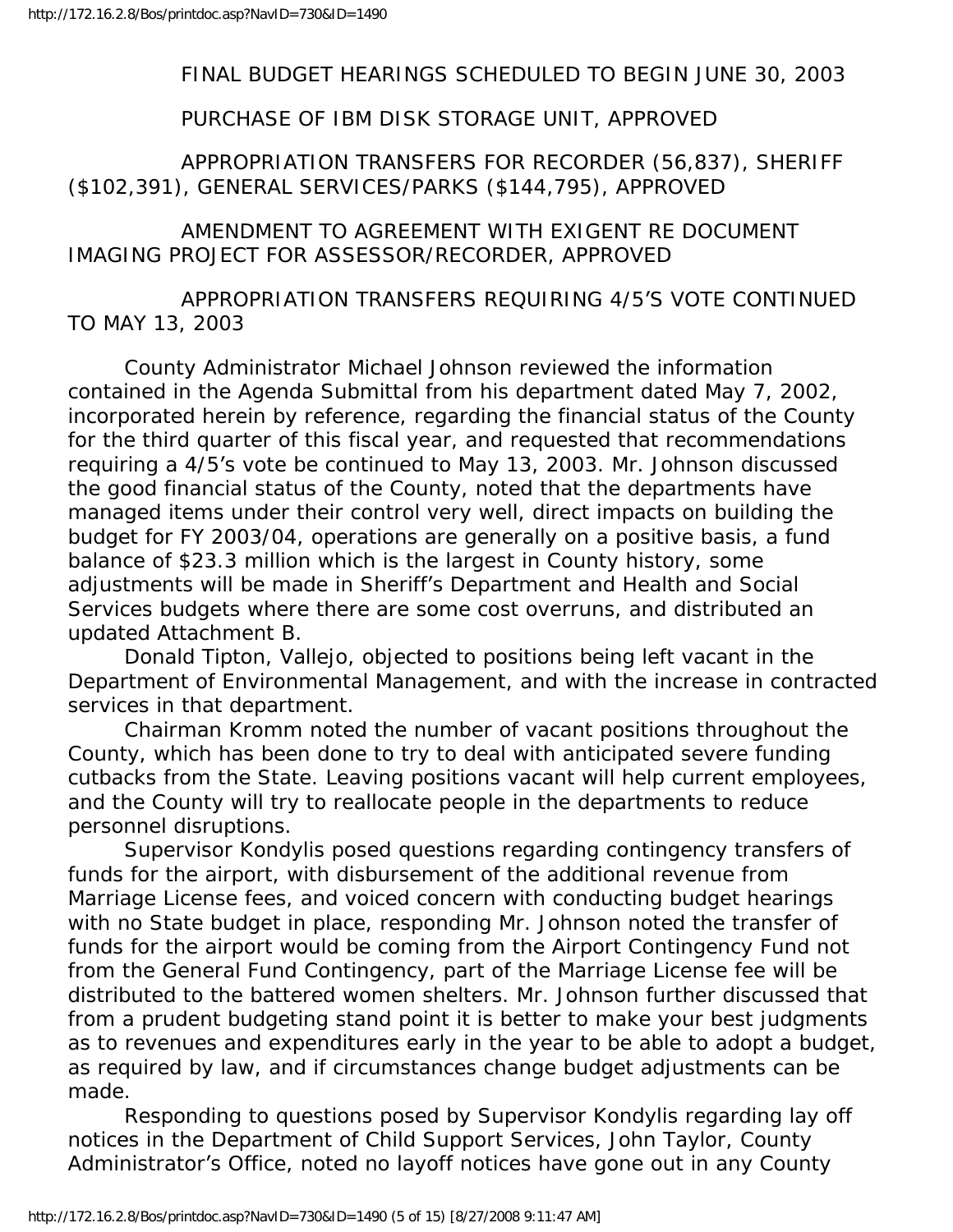#### FINAL BUDGET HEARINGS SCHEDULED TO BEGIN JUNE 30, 2003

#### PURCHASE OF IBM DISK STORAGE UNIT, APPROVED

### APPROPRIATION TRANSFERS FOR RECORDER (56,837), SHERIFF (\$102,391), GENERAL SERVICES/PARKS (\$144,795), APPROVED

### AMENDMENT TO AGREEMENT WITH EXIGENT RE DOCUMENT IMAGING PROJECT FOR ASSESSOR/RECORDER, APPROVED

### APPROPRIATION TRANSFERS REQUIRING 4/5'S VOTE CONTINUED TO MAY 13, 2003

 County Administrator Michael Johnson reviewed the information contained in the Agenda Submittal from his department dated May 7, 2002, incorporated herein by reference, regarding the financial status of the County for the third quarter of this fiscal year, and requested that recommendations requiring a 4/5's vote be continued to May 13, 2003. Mr. Johnson discussed the good financial status of the County, noted that the departments have managed items under their control very well, direct impacts on building the budget for FY 2003/04, operations are generally on a positive basis, a fund balance of \$23.3 million which is the largest in County history, some adjustments will be made in Sheriff's Department and Health and Social Services budgets where there are some cost overruns, and distributed an updated Attachment B.

 Donald Tipton, Vallejo, objected to positions being left vacant in the Department of Environmental Management, and with the increase in contracted services in that department.

 Chairman Kromm noted the number of vacant positions throughout the County, which has been done to try to deal with anticipated severe funding cutbacks from the State. Leaving positions vacant will help current employees, and the County will try to reallocate people in the departments to reduce personnel disruptions.

 Supervisor Kondylis posed questions regarding contingency transfers of funds for the airport, with disbursement of the additional revenue from Marriage License fees, and voiced concern with conducting budget hearings with no State budget in place, responding Mr. Johnson noted the transfer of funds for the airport would be coming from the Airport Contingency Fund not from the General Fund Contingency, part of the Marriage License fee will be distributed to the battered women shelters. Mr. Johnson further discussed that from a prudent budgeting stand point it is better to make your best judgments as to revenues and expenditures early in the year to be able to adopt a budget, as required by law, and if circumstances change budget adjustments can be made.

 Responding to questions posed by Supervisor Kondylis regarding lay off notices in the Department of Child Support Services, John Taylor, County Administrator's Office, noted no layoff notices have gone out in any County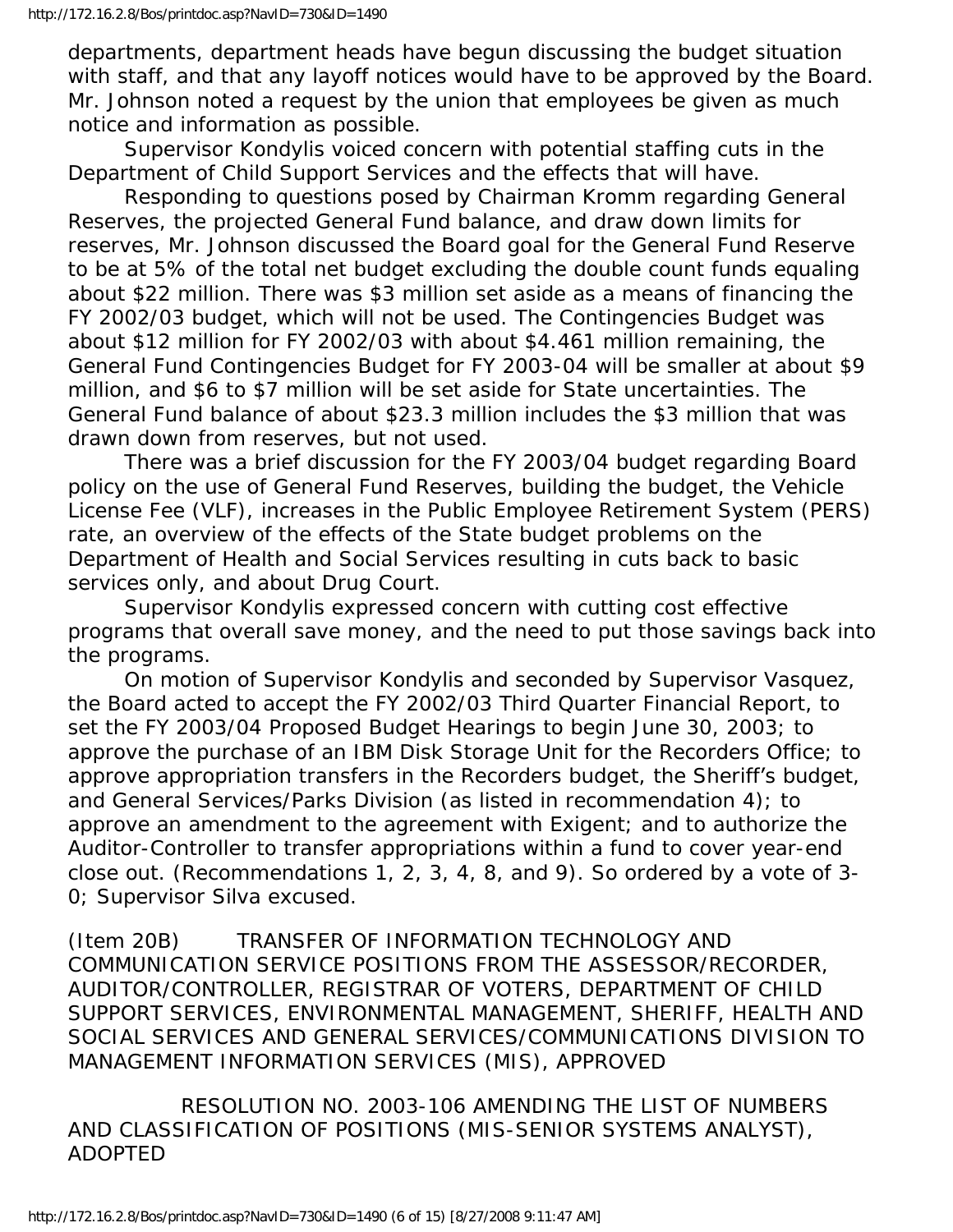departments, department heads have begun discussing the budget situation with staff, and that any layoff notices would have to be approved by the Board. Mr. Johnson noted a request by the union that employees be given as much notice and information as possible.

 Supervisor Kondylis voiced concern with potential staffing cuts in the Department of Child Support Services and the effects that will have.

 Responding to questions posed by Chairman Kromm regarding General Reserves, the projected General Fund balance, and draw down limits for reserves, Mr. Johnson discussed the Board goal for the General Fund Reserve to be at 5% of the total net budget excluding the double count funds equaling about \$22 million. There was \$3 million set aside as a means of financing the FY 2002/03 budget, which will not be used. The Contingencies Budget was about \$12 million for FY 2002/03 with about \$4.461 million remaining, the General Fund Contingencies Budget for FY 2003-04 will be smaller at about \$9 million, and \$6 to \$7 million will be set aside for State uncertainties. The General Fund balance of about \$23.3 million includes the \$3 million that was drawn down from reserves, but not used.

 There was a brief discussion for the FY 2003/04 budget regarding Board policy on the use of General Fund Reserves, building the budget, the Vehicle License Fee (VLF), increases in the Public Employee Retirement System (PERS) rate, an overview of the effects of the State budget problems on the Department of Health and Social Services resulting in cuts back to basic services only, and about Drug Court.

 Supervisor Kondylis expressed concern with cutting cost effective programs that overall save money, and the need to put those savings back into the programs.

 On motion of Supervisor Kondylis and seconded by Supervisor Vasquez, the Board acted to accept the FY 2002/03 Third Quarter Financial Report, to set the FY 2003/04 Proposed Budget Hearings to begin June 30, 2003; to approve the purchase of an IBM Disk Storage Unit for the Recorders Office; to approve appropriation transfers in the Recorders budget, the Sheriff's budget, and General Services/Parks Division (as listed in recommendation 4); to approve an amendment to the agreement with Exigent; and to authorize the Auditor-Controller to transfer appropriations within a fund to cover year-end close out. (Recommendations 1, 2, 3, 4, 8, and 9). So ordered by a vote of 3- 0; Supervisor Silva excused.

(Item 20B) TRANSFER OF INFORMATION TECHNOLOGY AND COMMUNICATION SERVICE POSITIONS FROM THE ASSESSOR/RECORDER, AUDITOR/CONTROLLER, REGISTRAR OF VOTERS, DEPARTMENT OF CHILD SUPPORT SERVICES, ENVIRONMENTAL MANAGEMENT, SHERIFF, HEALTH AND SOCIAL SERVICES AND GENERAL SERVICES/COMMUNICATIONS DIVISION TO MANAGEMENT INFORMATION SERVICES (MIS), APPROVED

 RESOLUTION NO. 2003-106 AMENDING THE LIST OF NUMBERS AND CLASSIFICATION OF POSITIONS (MIS-SENIOR SYSTEMS ANALYST), ADOPTED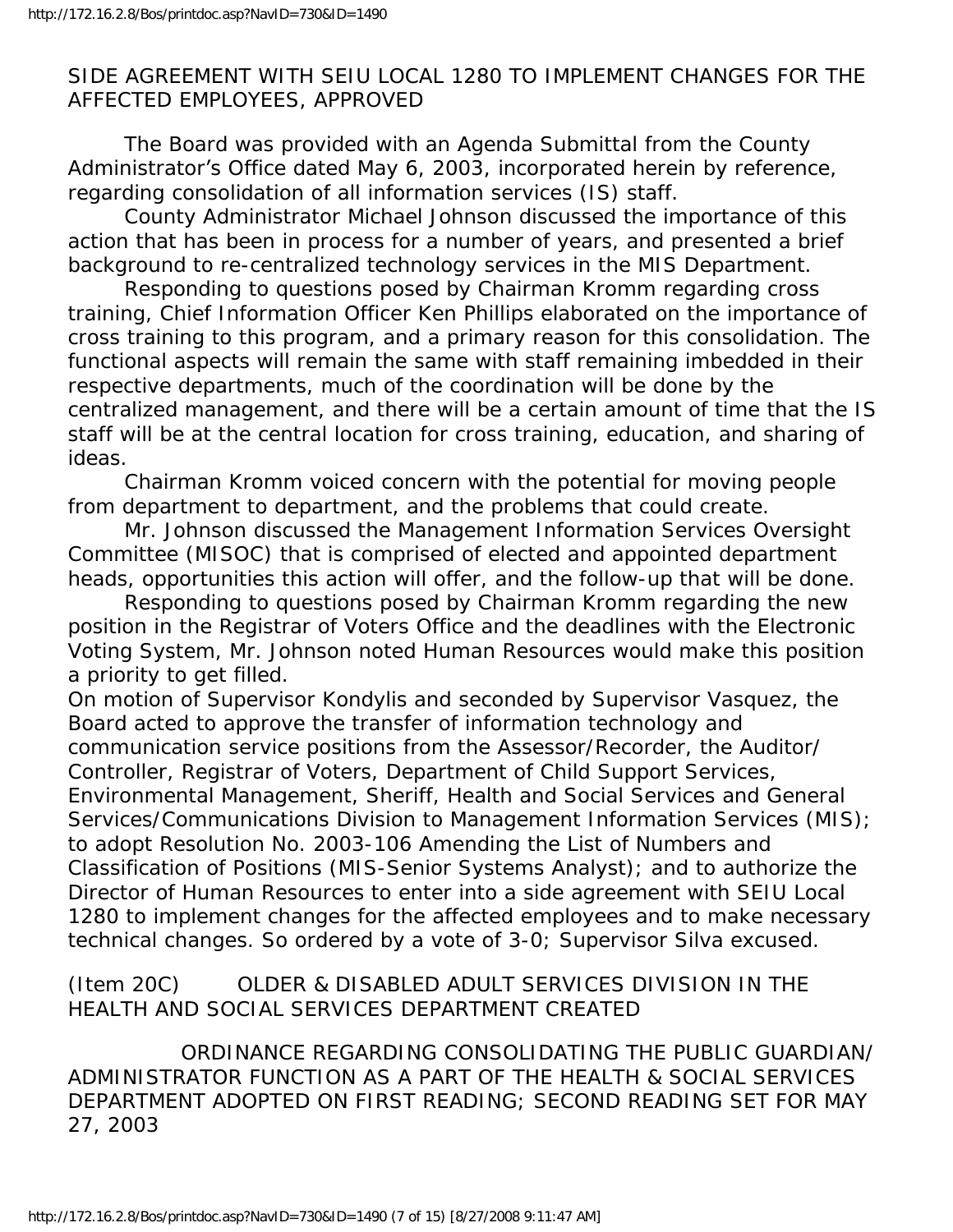## SIDE AGREEMENT WITH SEIU LOCAL 1280 TO IMPLEMENT CHANGES FOR THE AFFECTED EMPLOYEES, APPROVED

 The Board was provided with an Agenda Submittal from the County Administrator's Office dated May 6, 2003, incorporated herein by reference, regarding consolidation of all information services (IS) staff.

 County Administrator Michael Johnson discussed the importance of this action that has been in process for a number of years, and presented a brief background to re-centralized technology services in the MIS Department.

 Responding to questions posed by Chairman Kromm regarding cross training, Chief Information Officer Ken Phillips elaborated on the importance of cross training to this program, and a primary reason for this consolidation. The functional aspects will remain the same with staff remaining imbedded in their respective departments, much of the coordination will be done by the centralized management, and there will be a certain amount of time that the IS staff will be at the central location for cross training, education, and sharing of ideas.

 Chairman Kromm voiced concern with the potential for moving people from department to department, and the problems that could create.

 Mr. Johnson discussed the Management Information Services Oversight Committee (MISOC) that is comprised of elected and appointed department heads, opportunities this action will offer, and the follow-up that will be done.

 Responding to questions posed by Chairman Kromm regarding the new position in the Registrar of Voters Office and the deadlines with the Electronic Voting System, Mr. Johnson noted Human Resources would make this position a priority to get filled.

On motion of Supervisor Kondylis and seconded by Supervisor Vasquez, the Board acted to approve the transfer of information technology and communication service positions from the Assessor/Recorder, the Auditor/ Controller, Registrar of Voters, Department of Child Support Services, Environmental Management, Sheriff, Health and Social Services and General Services/Communications Division to Management Information Services (MIS); to adopt Resolution No. 2003-106 Amending the List of Numbers and Classification of Positions (MIS-Senior Systems Analyst); and to authorize the Director of Human Resources to enter into a side agreement with SEIU Local 1280 to implement changes for the affected employees and to make necessary technical changes. So ordered by a vote of 3-0; Supervisor Silva excused.

(Item 20C) OLDER & DISABLED ADULT SERVICES DIVISION IN THE HEALTH AND SOCIAL SERVICES DEPARTMENT CREATED

 ORDINANCE REGARDING CONSOLIDATING THE PUBLIC GUARDIAN/ ADMINISTRATOR FUNCTION AS A PART OF THE HEALTH & SOCIAL SERVICES DEPARTMENT ADOPTED ON FIRST READING; SECOND READING SET FOR MAY 27, 2003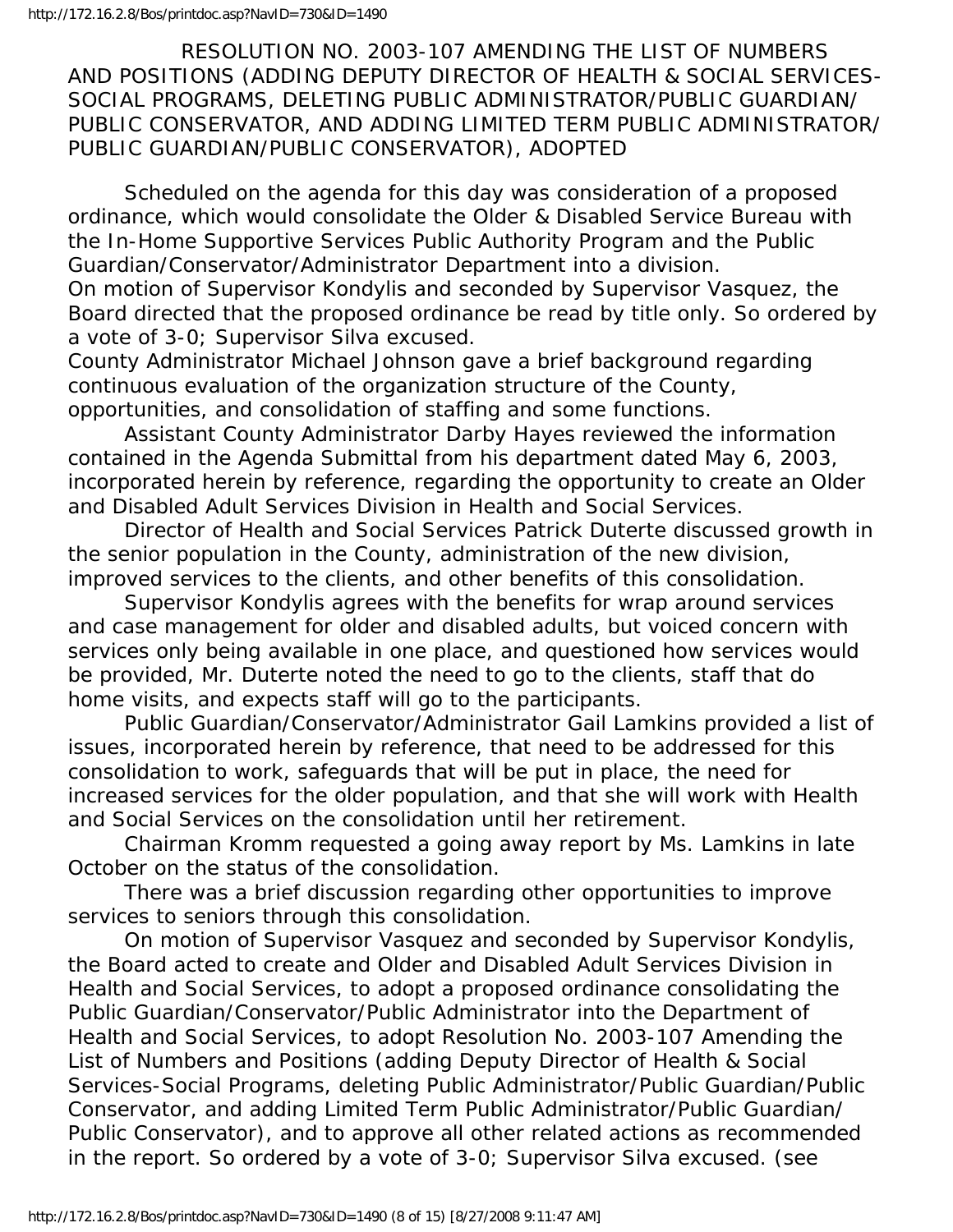RESOLUTION NO. 2003-107 AMENDING THE LIST OF NUMBERS AND POSITIONS (ADDING DEPUTY DIRECTOR OF HEALTH & SOCIAL SERVICES-SOCIAL PROGRAMS, DELETING PUBLIC ADMINISTRATOR/PUBLIC GUARDIAN/ PUBLIC CONSERVATOR, AND ADDING LIMITED TERM PUBLIC ADMINISTRATOR/ PUBLIC GUARDIAN/PUBLIC CONSERVATOR), ADOPTED

 Scheduled on the agenda for this day was consideration of a proposed ordinance, which would consolidate the Older & Disabled Service Bureau with the In-Home Supportive Services Public Authority Program and the Public Guardian/Conservator/Administrator Department into a division. On motion of Supervisor Kondylis and seconded by Supervisor Vasquez, the Board directed that the proposed ordinance be read by title only. So ordered by a vote of 3-0; Supervisor Silva excused.

County Administrator Michael Johnson gave a brief background regarding continuous evaluation of the organization structure of the County, opportunities, and consolidation of staffing and some functions.

 Assistant County Administrator Darby Hayes reviewed the information contained in the Agenda Submittal from his department dated May 6, 2003, incorporated herein by reference, regarding the opportunity to create an Older and Disabled Adult Services Division in Health and Social Services.

 Director of Health and Social Services Patrick Duterte discussed growth in the senior population in the County, administration of the new division, improved services to the clients, and other benefits of this consolidation.

 Supervisor Kondylis agrees with the benefits for wrap around services and case management for older and disabled adults, but voiced concern with services only being available in one place, and questioned how services would be provided, Mr. Duterte noted the need to go to the clients, staff that do home visits, and expects staff will go to the participants.

 Public Guardian/Conservator/Administrator Gail Lamkins provided a list of issues, incorporated herein by reference, that need to be addressed for this consolidation to work, safeguards that will be put in place, the need for increased services for the older population, and that she will work with Health and Social Services on the consolidation until her retirement.

 Chairman Kromm requested a going away report by Ms. Lamkins in late October on the status of the consolidation.

 There was a brief discussion regarding other opportunities to improve services to seniors through this consolidation.

 On motion of Supervisor Vasquez and seconded by Supervisor Kondylis, the Board acted to create and Older and Disabled Adult Services Division in Health and Social Services, to adopt a proposed ordinance consolidating the Public Guardian/Conservator/Public Administrator into the Department of Health and Social Services, to adopt Resolution No. 2003-107 Amending the List of Numbers and Positions (adding Deputy Director of Health & Social Services-Social Programs, deleting Public Administrator/Public Guardian/Public Conservator, and adding Limited Term Public Administrator/Public Guardian/ Public Conservator), and to approve all other related actions as recommended in the report. So ordered by a vote of 3-0; Supervisor Silva excused. (see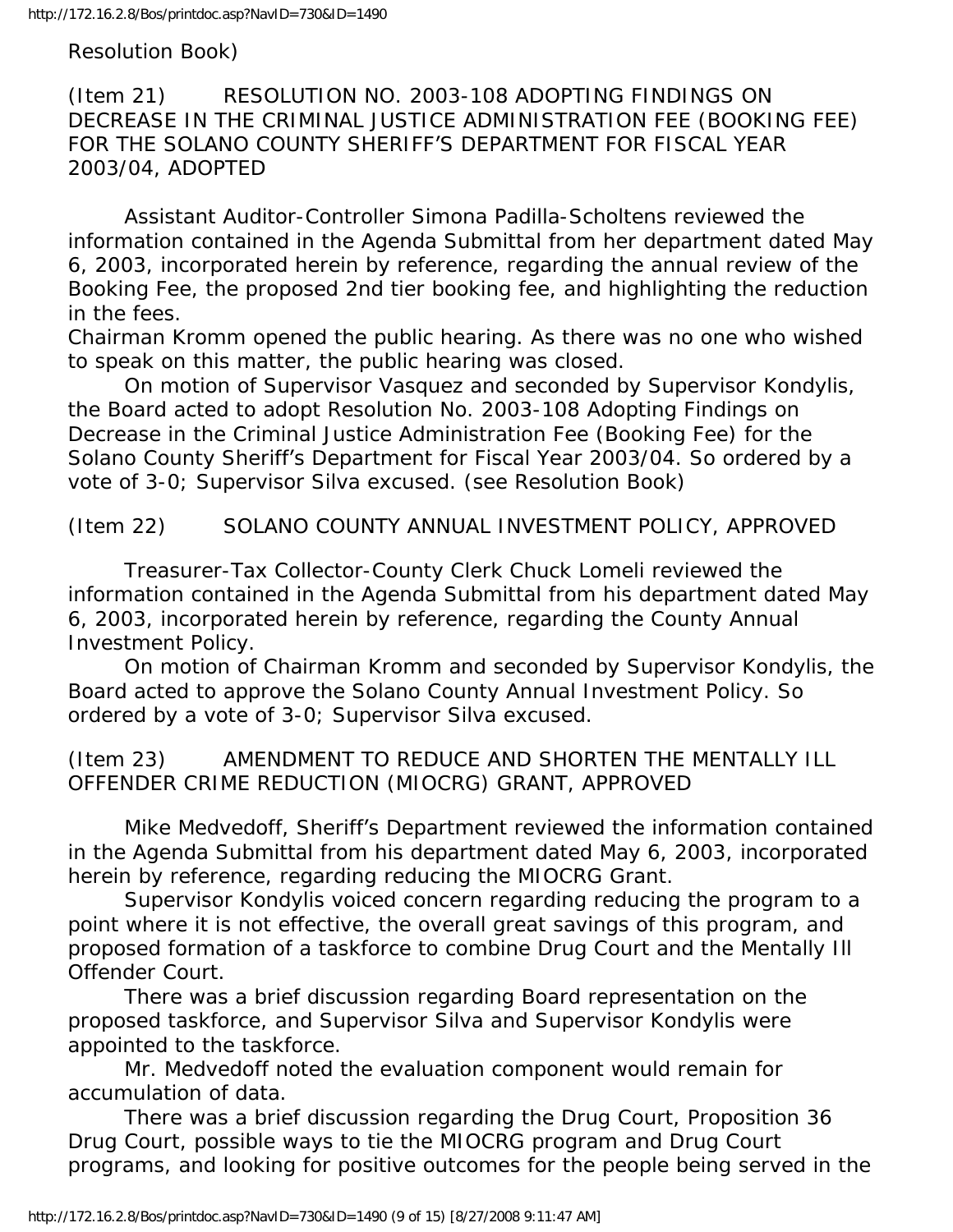Resolution Book)

(Item 21) RESOLUTION NO. 2003-108 ADOPTING FINDINGS ON DECREASE IN THE CRIMINAL JUSTICE ADMINISTRATION FEE (BOOKING FEE) FOR THE SOLANO COUNTY SHERIFF'S DEPARTMENT FOR FISCAL YEAR 2003/04, ADOPTED

 Assistant Auditor-Controller Simona Padilla-Scholtens reviewed the information contained in the Agenda Submittal from her department dated May 6, 2003, incorporated herein by reference, regarding the annual review of the Booking Fee, the proposed 2nd tier booking fee, and highlighting the reduction in the fees.

Chairman Kromm opened the public hearing. As there was no one who wished to speak on this matter, the public hearing was closed.

 On motion of Supervisor Vasquez and seconded by Supervisor Kondylis, the Board acted to adopt Resolution No. 2003-108 Adopting Findings on Decrease in the Criminal Justice Administration Fee (Booking Fee) for the Solano County Sheriff's Department for Fiscal Year 2003/04. So ordered by a vote of 3-0; Supervisor Silva excused. (see Resolution Book)

(Item 22) SOLANO COUNTY ANNUAL INVESTMENT POLICY, APPROVED

 Treasurer-Tax Collector-County Clerk Chuck Lomeli reviewed the information contained in the Agenda Submittal from his department dated May 6, 2003, incorporated herein by reference, regarding the County Annual Investment Policy.

 On motion of Chairman Kromm and seconded by Supervisor Kondylis, the Board acted to approve the Solano County Annual Investment Policy. So ordered by a vote of 3-0; Supervisor Silva excused.

(Item 23) AMENDMENT TO REDUCE AND SHORTEN THE MENTALLY ILL OFFENDER CRIME REDUCTION (MIOCRG) GRANT, APPROVED

 Mike Medvedoff, Sheriff's Department reviewed the information contained in the Agenda Submittal from his department dated May 6, 2003, incorporated herein by reference, regarding reducing the MIOCRG Grant.

 Supervisor Kondylis voiced concern regarding reducing the program to a point where it is not effective, the overall great savings of this program, and proposed formation of a taskforce to combine Drug Court and the Mentally Ill Offender Court.

 There was a brief discussion regarding Board representation on the proposed taskforce, and Supervisor Silva and Supervisor Kondylis were appointed to the taskforce.

 Mr. Medvedoff noted the evaluation component would remain for accumulation of data.

 There was a brief discussion regarding the Drug Court, Proposition 36 Drug Court, possible ways to tie the MIOCRG program and Drug Court programs, and looking for positive outcomes for the people being served in the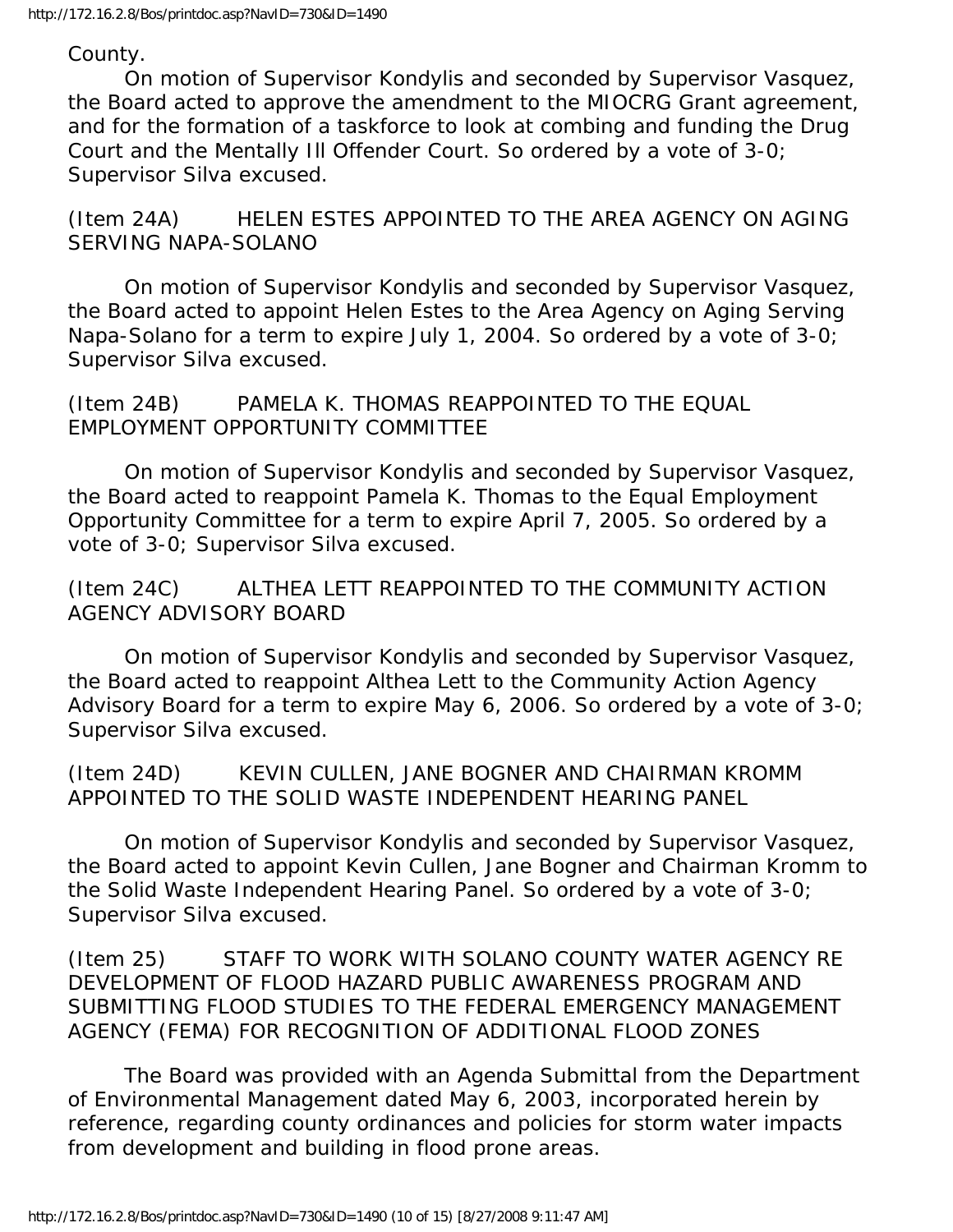County.

 On motion of Supervisor Kondylis and seconded by Supervisor Vasquez, the Board acted to approve the amendment to the MIOCRG Grant agreement, and for the formation of a taskforce to look at combing and funding the Drug Court and the Mentally Ill Offender Court. So ordered by a vote of 3-0; Supervisor Silva excused.

(Item 24A) HELEN ESTES APPOINTED TO THE AREA AGENCY ON AGING SERVING NAPA-SOLANO

 On motion of Supervisor Kondylis and seconded by Supervisor Vasquez, the Board acted to appoint Helen Estes to the Area Agency on Aging Serving Napa-Solano for a term to expire July 1, 2004. So ordered by a vote of 3-0; Supervisor Silva excused.

(Item 24B) PAMELA K. THOMAS REAPPOINTED TO THE EQUAL EMPLOYMENT OPPORTUNITY COMMITTEE

 On motion of Supervisor Kondylis and seconded by Supervisor Vasquez, the Board acted to reappoint Pamela K. Thomas to the Equal Employment Opportunity Committee for a term to expire April 7, 2005. So ordered by a vote of 3-0; Supervisor Silva excused.

(Item 24C) ALTHEA LETT REAPPOINTED TO THE COMMUNITY ACTION AGENCY ADVISORY BOARD

 On motion of Supervisor Kondylis and seconded by Supervisor Vasquez, the Board acted to reappoint Althea Lett to the Community Action Agency Advisory Board for a term to expire May 6, 2006. So ordered by a vote of 3-0; Supervisor Silva excused.

(Item 24D) KEVIN CULLEN, JANE BOGNER AND CHAIRMAN KROMM APPOINTED TO THE SOLID WASTE INDEPENDENT HEARING PANEL

 On motion of Supervisor Kondylis and seconded by Supervisor Vasquez, the Board acted to appoint Kevin Cullen, Jane Bogner and Chairman Kromm to the Solid Waste Independent Hearing Panel. So ordered by a vote of 3-0; Supervisor Silva excused.

(Item 25) STAFF TO WORK WITH SOLANO COUNTY WATER AGENCY RE DEVELOPMENT OF FLOOD HAZARD PUBLIC AWARENESS PROGRAM AND SUBMITTING FLOOD STUDIES TO THE FEDERAL EMERGENCY MANAGEMENT AGENCY (FEMA) FOR RECOGNITION OF ADDITIONAL FLOOD ZONES

 The Board was provided with an Agenda Submittal from the Department of Environmental Management dated May 6, 2003, incorporated herein by reference, regarding county ordinances and policies for storm water impacts from development and building in flood prone areas.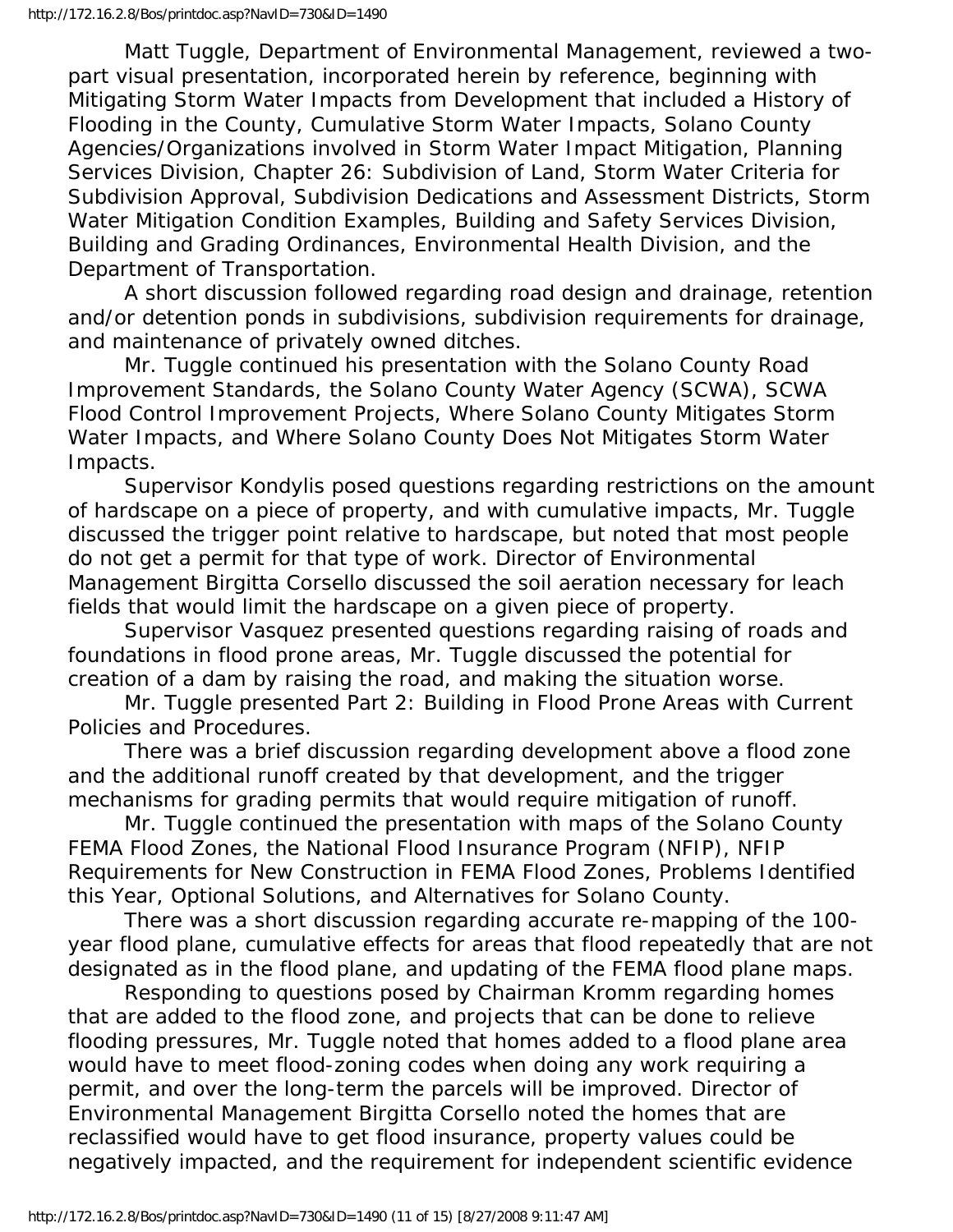Matt Tuggle, Department of Environmental Management, reviewed a twopart visual presentation, incorporated herein by reference, beginning with Mitigating Storm Water Impacts from Development that included a History of Flooding in the County, Cumulative Storm Water Impacts, Solano County Agencies/Organizations involved in Storm Water Impact Mitigation, Planning Services Division, Chapter 26: Subdivision of Land, Storm Water Criteria for Subdivision Approval, Subdivision Dedications and Assessment Districts, Storm Water Mitigation Condition Examples, Building and Safety Services Division, Building and Grading Ordinances, Environmental Health Division, and the Department of Transportation.

 A short discussion followed regarding road design and drainage, retention and/or detention ponds in subdivisions, subdivision requirements for drainage, and maintenance of privately owned ditches.

 Mr. Tuggle continued his presentation with the Solano County Road Improvement Standards, the Solano County Water Agency (SCWA), SCWA Flood Control Improvement Projects, Where Solano County Mitigates Storm Water Impacts, and Where Solano County Does Not Mitigates Storm Water Impacts.

 Supervisor Kondylis posed questions regarding restrictions on the amount of hardscape on a piece of property, and with cumulative impacts, Mr. Tuggle discussed the trigger point relative to hardscape, but noted that most people do not get a permit for that type of work. Director of Environmental Management Birgitta Corsello discussed the soil aeration necessary for leach fields that would limit the hardscape on a given piece of property.

 Supervisor Vasquez presented questions regarding raising of roads and foundations in flood prone areas, Mr. Tuggle discussed the potential for creation of a dam by raising the road, and making the situation worse.

 Mr. Tuggle presented Part 2: Building in Flood Prone Areas with Current Policies and Procedures.

 There was a brief discussion regarding development above a flood zone and the additional runoff created by that development, and the trigger mechanisms for grading permits that would require mitigation of runoff.

 Mr. Tuggle continued the presentation with maps of the Solano County FEMA Flood Zones, the National Flood Insurance Program (NFIP), NFIP Requirements for New Construction in FEMA Flood Zones, Problems Identified this Year, Optional Solutions, and Alternatives for Solano County.

 There was a short discussion regarding accurate re-mapping of the 100 year flood plane, cumulative effects for areas that flood repeatedly that are not designated as in the flood plane, and updating of the FEMA flood plane maps.

 Responding to questions posed by Chairman Kromm regarding homes that are added to the flood zone, and projects that can be done to relieve flooding pressures, Mr. Tuggle noted that homes added to a flood plane area would have to meet flood-zoning codes when doing any work requiring a permit, and over the long-term the parcels will be improved. Director of Environmental Management Birgitta Corsello noted the homes that are reclassified would have to get flood insurance, property values could be negatively impacted, and the requirement for independent scientific evidence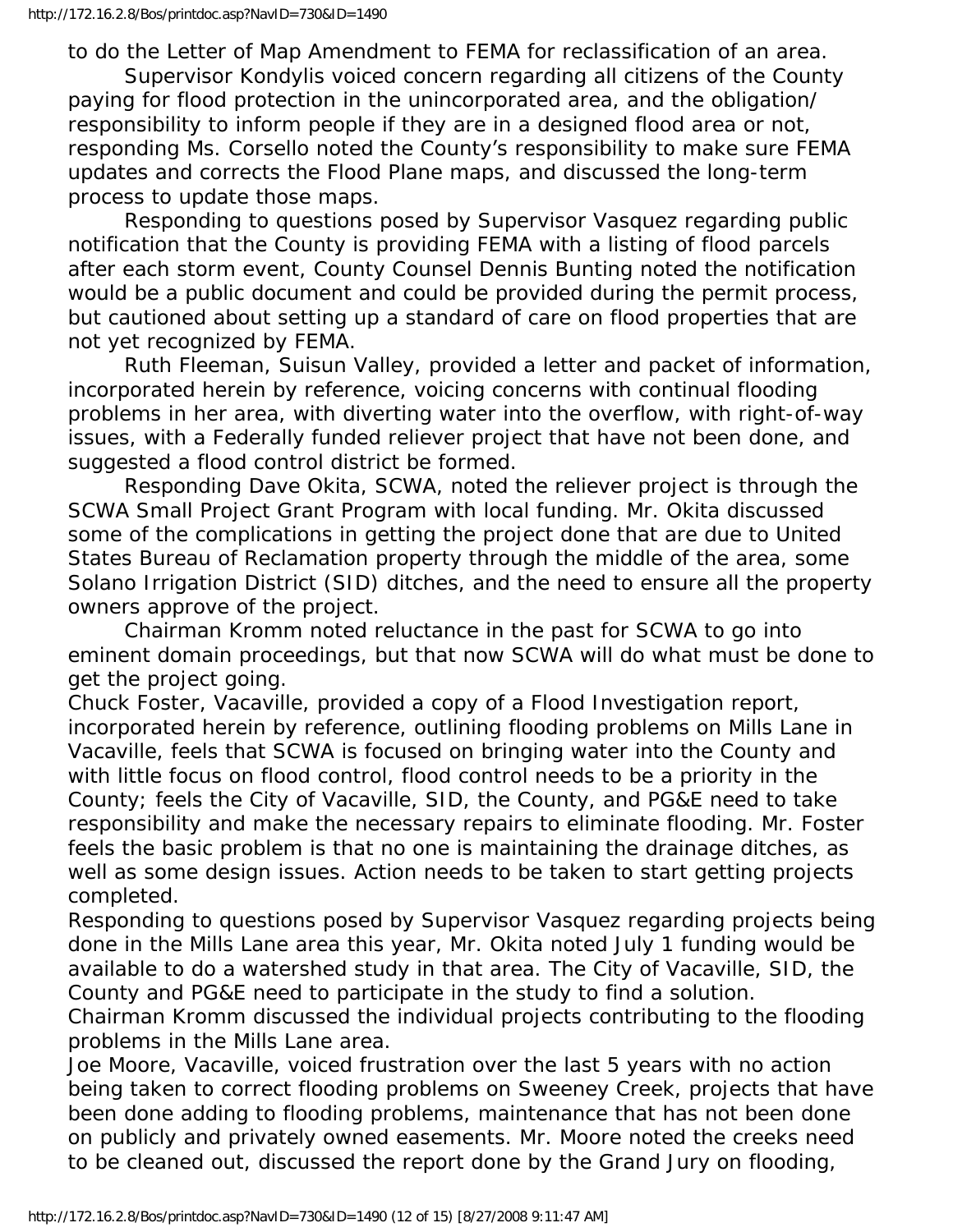to do the Letter of Map Amendment to FEMA for reclassification of an area. Supervisor Kondylis voiced concern regarding all citizens of the County paying for flood protection in the unincorporated area, and the obligation/ responsibility to inform people if they are in a designed flood area or not, responding Ms. Corsello noted the County's responsibility to make sure FEMA updates and corrects the Flood Plane maps, and discussed the long-term process to update those maps.

 Responding to questions posed by Supervisor Vasquez regarding public notification that the County is providing FEMA with a listing of flood parcels after each storm event, County Counsel Dennis Bunting noted the notification would be a public document and could be provided during the permit process, but cautioned about setting up a standard of care on flood properties that are not yet recognized by FEMA.

 Ruth Fleeman, Suisun Valley, provided a letter and packet of information, incorporated herein by reference, voicing concerns with continual flooding problems in her area, with diverting water into the overflow, with right-of-way issues, with a Federally funded reliever project that have not been done, and suggested a flood control district be formed.

 Responding Dave Okita, SCWA, noted the reliever project is through the SCWA Small Project Grant Program with local funding. Mr. Okita discussed some of the complications in getting the project done that are due to United States Bureau of Reclamation property through the middle of the area, some Solano Irrigation District (SID) ditches, and the need to ensure all the property owners approve of the project.

 Chairman Kromm noted reluctance in the past for SCWA to go into eminent domain proceedings, but that now SCWA will do what must be done to get the project going.

Chuck Foster, Vacaville, provided a copy of a Flood Investigation report, incorporated herein by reference, outlining flooding problems on Mills Lane in Vacaville, feels that SCWA is focused on bringing water into the County and with little focus on flood control, flood control needs to be a priority in the County; feels the City of Vacaville, SID, the County, and PG&E need to take responsibility and make the necessary repairs to eliminate flooding. Mr. Foster feels the basic problem is that no one is maintaining the drainage ditches, as well as some design issues. Action needs to be taken to start getting projects completed.

Responding to questions posed by Supervisor Vasquez regarding projects being done in the Mills Lane area this year, Mr. Okita noted July 1 funding would be available to do a watershed study in that area. The City of Vacaville, SID, the County and PG&E need to participate in the study to find a solution.

Chairman Kromm discussed the individual projects contributing to the flooding problems in the Mills Lane area.

Joe Moore, Vacaville, voiced frustration over the last 5 years with no action being taken to correct flooding problems on Sweeney Creek, projects that have been done adding to flooding problems, maintenance that has not been done on publicly and privately owned easements. Mr. Moore noted the creeks need to be cleaned out, discussed the report done by the Grand Jury on flooding,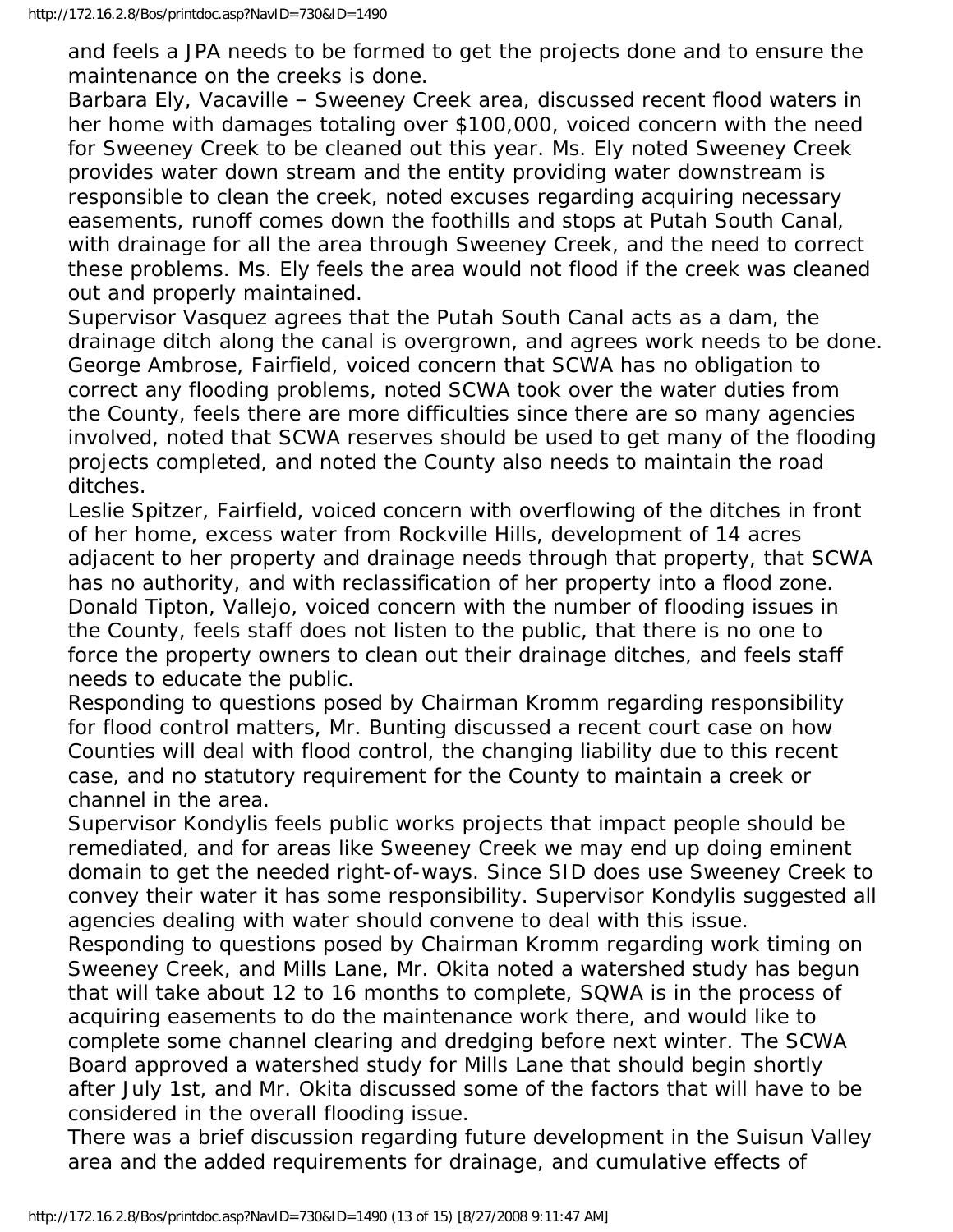and feels a JPA needs to be formed to get the projects done and to ensure the maintenance on the creeks is done.

Barbara Ely, Vacaville – Sweeney Creek area, discussed recent flood waters in her home with damages totaling over \$100,000, voiced concern with the need for Sweeney Creek to be cleaned out this year. Ms. Ely noted Sweeney Creek provides water down stream and the entity providing water downstream is responsible to clean the creek, noted excuses regarding acquiring necessary easements, runoff comes down the foothills and stops at Putah South Canal, with drainage for all the area through Sweeney Creek, and the need to correct these problems. Ms. Ely feels the area would not flood if the creek was cleaned out and properly maintained.

Supervisor Vasquez agrees that the Putah South Canal acts as a dam, the drainage ditch along the canal is overgrown, and agrees work needs to be done. George Ambrose, Fairfield, voiced concern that SCWA has no obligation to correct any flooding problems, noted SCWA took over the water duties from the County, feels there are more difficulties since there are so many agencies involved, noted that SCWA reserves should be used to get many of the flooding projects completed, and noted the County also needs to maintain the road ditches.

Leslie Spitzer, Fairfield, voiced concern with overflowing of the ditches in front of her home, excess water from Rockville Hills, development of 14 acres adjacent to her property and drainage needs through that property, that SCWA has no authority, and with reclassification of her property into a flood zone. Donald Tipton, Vallejo, voiced concern with the number of flooding issues in the County, feels staff does not listen to the public, that there is no one to force the property owners to clean out their drainage ditches, and feels staff needs to educate the public.

Responding to questions posed by Chairman Kromm regarding responsibility for flood control matters, Mr. Bunting discussed a recent court case on how Counties will deal with flood control, the changing liability due to this recent case, and no statutory requirement for the County to maintain a creek or channel in the area.

Supervisor Kondylis feels public works projects that impact people should be remediated, and for areas like Sweeney Creek we may end up doing eminent domain to get the needed right-of-ways. Since SID does use Sweeney Creek to convey their water it has some responsibility. Supervisor Kondylis suggested all agencies dealing with water should convene to deal with this issue.

Responding to questions posed by Chairman Kromm regarding work timing on Sweeney Creek, and Mills Lane, Mr. Okita noted a watershed study has begun that will take about 12 to 16 months to complete, SQWA is in the process of acquiring easements to do the maintenance work there, and would like to complete some channel clearing and dredging before next winter. The SCWA Board approved a watershed study for Mills Lane that should begin shortly after July 1st, and Mr. Okita discussed some of the factors that will have to be considered in the overall flooding issue.

There was a brief discussion regarding future development in the Suisun Valley area and the added requirements for drainage, and cumulative effects of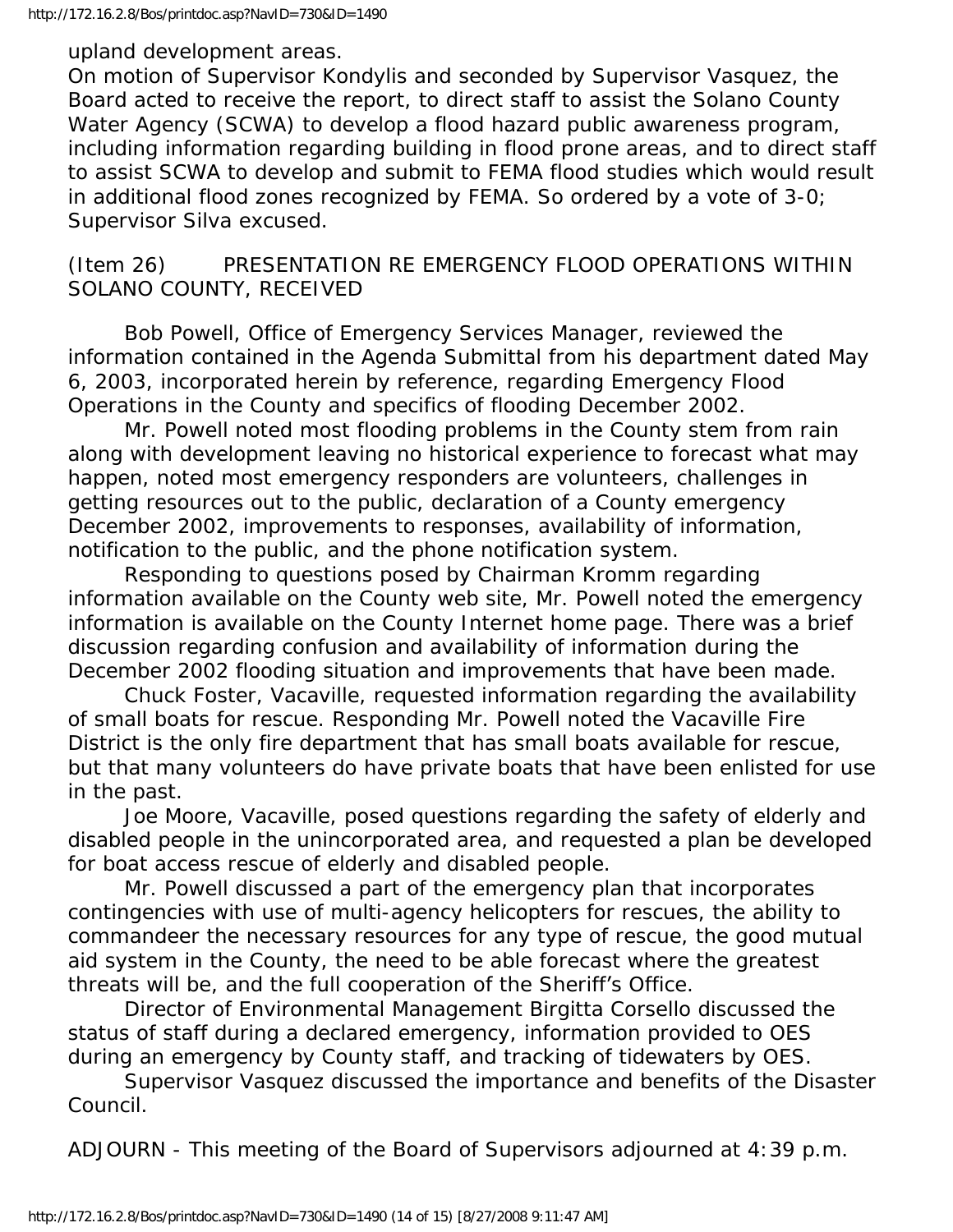upland development areas.

On motion of Supervisor Kondylis and seconded by Supervisor Vasquez, the Board acted to receive the report, to direct staff to assist the Solano County Water Agency (SCWA) to develop a flood hazard public awareness program, including information regarding building in flood prone areas, and to direct staff to assist SCWA to develop and submit to FEMA flood studies which would result in additional flood zones recognized by FEMA. So ordered by a vote of 3-0; Supervisor Silva excused.

## (Item 26) PRESENTATION RE EMERGENCY FLOOD OPERATIONS WITHIN SOLANO COUNTY, RECEIVED

 Bob Powell, Office of Emergency Services Manager, reviewed the information contained in the Agenda Submittal from his department dated May 6, 2003, incorporated herein by reference, regarding Emergency Flood Operations in the County and specifics of flooding December 2002.

 Mr. Powell noted most flooding problems in the County stem from rain along with development leaving no historical experience to forecast what may happen, noted most emergency responders are volunteers, challenges in getting resources out to the public, declaration of a County emergency December 2002, improvements to responses, availability of information, notification to the public, and the phone notification system.

 Responding to questions posed by Chairman Kromm regarding information available on the County web site, Mr. Powell noted the emergency information is available on the County Internet home page. There was a brief discussion regarding confusion and availability of information during the December 2002 flooding situation and improvements that have been made.

 Chuck Foster, Vacaville, requested information regarding the availability of small boats for rescue. Responding Mr. Powell noted the Vacaville Fire District is the only fire department that has small boats available for rescue, but that many volunteers do have private boats that have been enlisted for use in the past.

 Joe Moore, Vacaville, posed questions regarding the safety of elderly and disabled people in the unincorporated area, and requested a plan be developed for boat access rescue of elderly and disabled people.

 Mr. Powell discussed a part of the emergency plan that incorporates contingencies with use of multi-agency helicopters for rescues, the ability to commandeer the necessary resources for any type of rescue, the good mutual aid system in the County, the need to be able forecast where the greatest threats will be, and the full cooperation of the Sheriff's Office.

 Director of Environmental Management Birgitta Corsello discussed the status of staff during a declared emergency, information provided to OES during an emergency by County staff, and tracking of tidewaters by OES.

 Supervisor Vasquez discussed the importance and benefits of the Disaster Council.

ADJOURN - This meeting of the Board of Supervisors adjourned at 4:39 p.m.